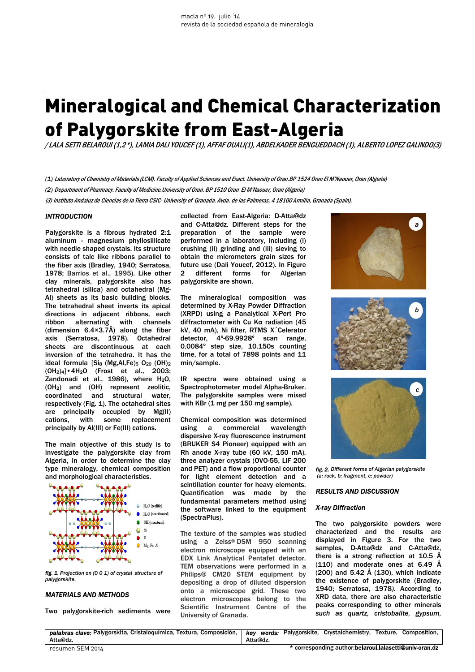# Mineralogical and Chemical Characterization of Palygorskite from East-Algeria

*/*LALA SETTI BELAROUI (1,2\*), LAMIA DALI YOUCEF (1), AFFAF OUALI(1), ABDELKADER BENGUEDDACH (1), ALBERTO LOPEZ GALINDO(3)

- *(1)* Laboratory of Chemistry of Materials (LCM). Faculty of Applied Sciences and Exact. University of Oran.BP 1524 Oran El M'Naouer, Oran (Algeria)
- *(2)* Department of Pharmacy. Faculty of Medicine.University of Oran. BP 1510 Oran El M'Naouer, Oran (Algeria)

(3) Instituto Andaluz de Ciencias de la Tierra CSIC- University of Granada. Avda. de las Palmeras, 4 18100 Armilla, Granada (Spain).

## *INTRODUCTION*

Palygorskite is a fibrous hydrated 2:1 aluminum - magnesium phyllosillicate with needle shaped crystals. Its structure consists of talc like ribbons parallel to the fiber axis (Bradley, 1940; Serratosa, 1978; Barrios et al., 1995). Like other clay minerals, palygorskite also has tetrahedral (silica) and octahedral (Mg-Al) sheets as its basic building blocks. The tetrahedral sheet inverts its apical directions in adjacent ribbons, each ribbon alternating with channels (dimension 6.4×3.7Å) along the fiber axis (Serratosa, 1978). Octahedral sheets are discontinuous at each inversion of the tetrahedra. It has the ideal formula [Sis (Mg, Al, Fe)<sub>5</sub> O<sub>20</sub> (OH)<sub>2</sub> (OH2)4]•4H2O (Frost et al., 2003; Zandonadi et al.,  $1986$ ), where  $H<sub>2</sub>O$ , (OH2) and (OH) represent zeolitic, coordinated and structural water, respectively (Fig. 1). The octahedral sites are principally occupied by Mg(II) cations, with some replacement principally by Al(III) or Fe(III) cations.

The main objective of this study is to investigate the palygorskite clay from Algeria, in order to determine the clay type mineralogy, chemical composition and morphological characteristics.



*fig. 1. Projection on (0 0 1) of crystal structure of palygorskite.* 

#### *MATERIALS AND METHODS*

Two palygorskite-rich sediments were

collected from East-Algeria: D-Atta@dz and C-Atta@dz. Different steps for the preparation of the sample were performed in a laboratory, including (i) crushing (ii) grinding and (iii) sieving to obtain the micrometers grain sizes for future use (Dali Youcef, 2012). In Figure 2 different forms for Algerian palygorskite are shown.

The mineralogical composition was determined by X-Ray Powder Diffraction (XRPD) using a Panalytical X-Pert Pro diffractometer with Cu Kα radiation (45 kV, 40 mA), Ni filter, RTMS X´Celerator detector, 4º-69.9928º scan range, 0.0084º step size, 10.150s counting time, for a total of 7898 points and 11 min/sample.

IR spectra were obtained using a Spectrophotometer model Alpha-Bruker. The palygorskite samples were mixed with KBr (1 mg per 150 mg sample).

Chemical composition was determined using a commercial wavelength dispersive X-ray fluorescence instrument (BRUKER S4 Pioneer) equipped with an Rh anode X-ray tube (60 kV, 150 mA), three analyzer crystals (OVO-55, LiF 200 and PET) and a flow proportional counter for light element detection and a scintillation counter for heavy elements. Quantification was made by the fundamental parameters method using the software linked to the equipment (SpectraPlus).

The texture of the samples was studied using a Zeiss® DSM 950 scanning electron microscope equipped with an EDX Link Analytical Pentafet detector. TEM observations were performed in a Philips® CM20 STEM equipment by depositing a drop of diluted dispersion onto a microscope grid. These two electron microscopes belong to the Scientific Instrument Centre of the University of Granada.







*fig. 2. Different forms of Algerian palygorskite (a: rock, b: fragment, c: powder)* 

### *RESULTS AND DISCUSSION*

#### *X-ray Diffraction*

The two palygorskite powders were characterized and the results are displayed in Figure 3. For the two samples, D-Atta@dz and C-Atta@dz, there is a strong reflection at 10.5 Å (110) and moderate ones at 6.49 Å  $(200)$  and 5.42 Å  $(130)$ , which indicate the existence of palygorskite (Bradley, 1940; Serratosa, 1978*)*. According to XRD data, there are also characteristic peaks corresponding to other minerals *such as quartz, cristobalite, gypsum,* 

|                  | palabras clave: Palygorskita, Cristaloguímica, Textura, Composición,   key words: Palygorskite, Crystalchemistry, Texture, Composition, |
|------------------|-----------------------------------------------------------------------------------------------------------------------------------------|
| Atta@dz.         | Atta@dz.                                                                                                                                |
| resumen SEM 2014 | * corresponding author: belaroui.lalasetti@univ-oran.dz                                                                                 |